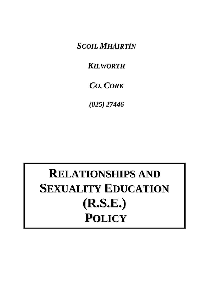*SCOIL MHÁIRTÍN*

*KILWORTH*

# *CO. CORK*

*(025) 27446*

# **RELATIONSHIPS AND SEXUALITY EDUCATION (R.S.E.) POLICY**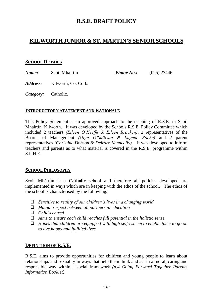## **R.S.E. DRAFT POLICY**

### **KILWORTH JUNIOR & ST. MARTIN'S SENIOR SCHOOLS**

#### **SCHOOL DETAILS**

*Name:* Scoil Mháirtín *Phone No.:* (025) 27446

*Address:* Kilworth, Co. Cork.

*Category:* Catholic.

#### **INTRODUCTORY STATEMENT AND RATIONALE**

This Policy Statement is an approved approach to the teaching of R.S.E. in Scoil Mháirtín, Kilworth. It was developed by the Schools R.S.E. Policy Committee which included 2 teachers *(Eileen O'Keeffe & Eileen Bracken)*, 2 representatives of the Boards of Management *(Olga O'Sullivan & Eugene Roche)* and 2 parent representatives *(Christine Dobson & Deirdre Kenneally)*. It was developed to inform teachers and parents as to what material is covered in the R.S.E. programme within S.P.H.E.

#### **SCHOOL PHILOSOPHY**

Scoil Mháirtín is a **Catholic** school and therefore all policies developed are implemented in ways which are in keeping with the ethos of the school. The ethos of the school is characterised by the following:

- *Sensitive to reality of our children's lives in a changing world*
- *Mutual respect between all partners in education*
- *Child-centred*
- *Aims to ensure each child reaches full potential in the holistic sense*
- *Hopes that children are equipped with high self-esteem to enable them to go on to live happy and fulfilled lives*

#### **DEFINITION OF R.S.E.**

R.S.E. aims to provide opportunities for children and young people to learn about relationships and sexuality in ways that help them think and act in a moral, caring and responsible way within a social framework *(p.4 Going Forward Together Parents Information Booklet).*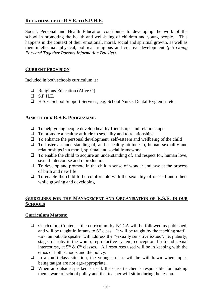#### **RELATIONSHIP OF R.S.E. TO S.P.H.E.**

Social, Personal and Health Education contributes to developing the work of the school in promoting the health and well-being of children and young people. This happens in the context of their emotional, moral, social and spiritual growth, as well as their intellectual, physical, political, religious and creative development *(p.5 Going Forward Together Parents Information Booklet)*.

#### **CURRENT PROVISION**

Included in both schools curriculum is:

- $\Box$  Religious Education (Alive O)
- $S.P.H.E.$
- H.S.E. School Support Services, e.g. School Nurse, Dental Hygienist, etc.

#### **AIMS OF OUR R.S.E. PROGRAMME**

- $\Box$  To help young people develop healthy friendships and relationships
- $\Box$  To promote a healthy attitude to sexuality and to relationships
- $\Box$  To enhance the personal development, self-esteem and wellbeing of the child
- $\Box$  To foster an understanding of, and a healthy attitude to, human sexuality and relationships in a moral, spiritual and social framework
- $\Box$  To enable the child to acquire an understanding of, and respect for, human love, sexual intercourse and reproduction
- $\Box$  To develop and promote in the child a sense of wonder and awe at the process of birth and new life
- $\Box$  To enable the child to be comfortable with the sexuality of oneself and others while growing and developing

#### **GUIDELINES FOR THE MANAGEMENT AND ORGANISATION OF R.S.E. IN OUR SCHOOLS**

#### **Curriculum Matters:**

- $\Box$  Curriculum Content the curriculum by NCCA will be followed as published, and will be taught in Infants to  $6<sup>th</sup>$  class. It will be taught by the teaching staff, *-or-* an outside speaker will address the "sexually sensitive issues", i.e. puberty, stages of baby in the womb, reproductive system, conception, birth and sexual intercourse, at  $5<sup>th</sup>$  &  $6<sup>th</sup>$  classes. All resources used will be in keeping with the ethos of both schools and the policy.
- $\Box$  In a multi-class situation, the younger class will be withdrawn when topics being taught are not age-appropriate.
- $\Box$  When an outside speaker is used, the class teacher is responsible for making them aware of school policy and that teacher will sit in during the lesson.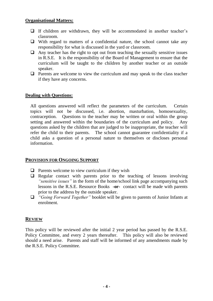#### **Organisational Matters:**

- $\Box$  If children are withdrawn, they will be accommodated in another teacher's classroom.
- $\Box$  With regard to matters of a confidential nature, the school cannot take any responsibility for what is discussed in the yard or classroom.
- $\Box$  Any teacher has the right to opt out from teaching the sexually sensitive issues in R.S.E. It is the responsibility of the Board of Management to ensure that the curriculum will be taught to the children by another teacher or an outside speaker.
- $\Box$  Parents are welcome to view the curriculum and may speak to the class teacher if they have any concerns.

#### **Dealing with Questions:**

All questions answered will reflect the parameters of the curriculum. Certain topics will not be discussed, i.e. abortion, masturbation, homosexuality, contraception. Questions to the teacher may be written or oral within the group setting and answered within the boundaries of the curriculum and policy. Any questions asked by the children that are judged to be inappropriate, the teacher will refer the child to their parents. The school cannot guarantee confidentiality if a child asks a question of a personal nature to themselves or discloses personal information.

#### **PROVISION FOR ONGOING SUPPORT**

- $\Box$  Parents welcome to view curriculum if they wish
- $\Box$  Regular contact with parents prior to the teaching of lessons involving *"sensitive issues"* in the form of the home/school link page accompanying such lessons in the R.S.E. Resource Books **-or-** contact will be made with parents prior to the address by the outside speaker.
- *"Going Forward Together"* booklet will be given to parents of Junior Infants at enrolment.

#### **REVIEW**

This policy will be reviewed after the initial 2 year period has passed by the R.S.E. Policy Committee, and every 2 years thereafter. This policy will also be reviewed should a need arise. Parents and staff will be informed of any amendments made by the R.S.E. Policy Committee.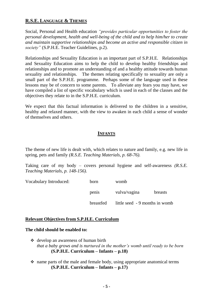#### **R.S.E. LANGUAGE & THEMES**

Social, Personal and Health education *"provides particular opportunities to foster the personal development, health and well-being of the child and to help him/her to create and maintain supportive relationships and become an active and responsible citizen in society"* (S.P.H.E. Teacher Guidelines, p.2).

Relationships and Sexuality Education is an important part of S.P.H.E. Relationships and Sexuality Education aims to help the child to develop healthy friendships and relationships and to promote an understanding of and a healthy attitude towards human sexuality and relationships. The themes relating specifically to sexuality are only a small part of the S.P.H.E. programme. Perhaps some of the language used in these lessons may be of concern to some parents. To alleviate any fears you may have, we have compiled a list of specific vocabulary which is used in each of the classes and the objectives they relate to in the S.P.H.E. curriculum.

We expect that this factual information is delivered to the children in a sensitive, healthy and relaxed manner, with the view to awaken in each child a sense of wonder of themselves and others.

#### **INFANTS**

The theme of new life is dealt with, which relates to nature and family, e.g. new life in spring, pets and family *(R.S.E. Teaching Materials, p. 68-76).*

Taking care of my body – covers personal hygiene and self-awareness *(R.S.E. Teaching Materials, p. 148-156).*

| Vocabulary Introduced: | born      | womb                           |         |
|------------------------|-----------|--------------------------------|---------|
|                        | penis     | vulva/vagina                   | breasts |
|                        | breastfed | little seed - 9 months in womb |         |

#### **Relevant Objectives from S.P.H.E. Curriculum**

#### **The child should be enabled to:**

- develop an awareness of human birth *that a baby grows and is nurtured in the mother's womb until ready to be born* **(S.P.H.E. Curriculum – Infants – p.18)**
- $\cdot$  name parts of the male and female body, using appropriate anatomical terms **(S.P.H.E. Curriculum – Infants – p.17)**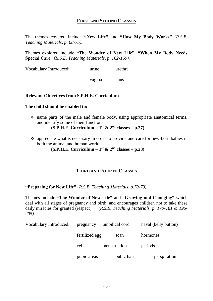#### **FIRST AND SECOND CLASSES**

The themes covered include **"New Life"** and **"How My Body Works"** *(R.S.E. Teaching Materials, p. 68-75).*

Themes explored include **"The Wonder of New Life"**, **"When My Body Needs Special Care"** *(R.S.E. Teaching Materials, p. 162-169).*

Vocabulary Introduced: urine urethra

vagina anus

#### **Relevant Objectives from S.P.H.E. Curriculum**

#### **The child should be enabled to:**

 name parts of the male and female body, using appropriate anatomical terms, and identify some of their functions

 $(S.P.H.E.$  Curriculum  $-1$ <sup>st</sup> & 2<sup>nd</sup> classes  $-$  p.27)

 appreciate what is necessary in order to provide and care for new-born babies in both the animal and human world

**(S.P.H.E. Curriculum –**  $1<sup>st</sup>$  **&**  $2<sup>nd</sup>$  **classes –**  $p.28$ **)** 

#### **THIRD AND FOURTH CLASSES**

**"Preparing for New Life"** *(R.S.E. Teaching Materials, p.70-79).*

Themes include **"The Wonder of New Life"** and **"Growing and Changing"** which deal with all stages of pregnancy and birth, and encourages children not to take these daily miracles for granted (respect). *(R.S.E. Teaching Materials, p. 170-181 & 196- 205).*

| Vocabulary Introduced: | pregnancy      | umbilical cord | naval (belly button) |  |
|------------------------|----------------|----------------|----------------------|--|
|                        | fertilized egg | scan           | hormones             |  |
|                        | cells          | menstruation   | periods              |  |
|                        | pubic areas    | pubic hair     | perspiration         |  |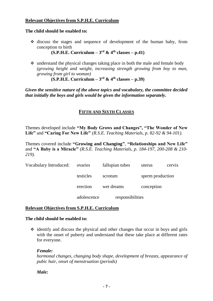#### **Relevant Objectives from S.P.H.E. Curriculum**

#### **The child should be enabled to:**

 $\div$  discuss the stages and sequence of development of the human baby, from conception to birth

**(S.P.H.E. Curriculum –**  $3<sup>rd</sup>$  **& 4<sup>th</sup> classes – p.41)** 

 $\cdot$  understand the physical changes taking place in both the male and female body *(growing height and weight, increasing strength growing from boy to man, growing from girl to woman)*

**(S.P.H.E. Curriculum – 3 rd & 4 th classes – p.39)**

*Given the sensitive nature of the above topics and vocabulary, the committee decided that initially the boys and girls would be given the information separately.*

#### **FIFTH AND SIXTH CLASSES**

Themes developed include **"My Body Grows and Changes", "The Wonder of New Life"** and **"Caring For New Life"** *(R.S.E. Teaching Materials, p. 82-92 & 94-101).*

Themes covered include **"Growing and Changing"**, **"Relationships and New Life"**  and **"A Baby is a Miracle"** *(R.S.E. Teaching Materials, p. 184-197, 200-208 & 210- 219).*

| Vocabulary Introduced: | ovaries     | fallopian tubes  | uterus           | cervix |
|------------------------|-------------|------------------|------------------|--------|
|                        | testicles   | scrotum          | sperm production |        |
|                        | erection    | wet dreams       | conception       |        |
|                        | adolescence | responsibilities |                  |        |

#### **Relevant Objectives from S.P.H.E. Curriculum**

#### **The child should be enabled to:**

 $\div$  identify and discuss the physical and other changes that occur in boys and girls with the onset of puberty and understand that these take place at different rates for everyone.

#### *Female:*

*hormonal changes, changing body shape, development of breasts, appearance of pubic hair, onset of menstruation (periods)*

#### *Male:*